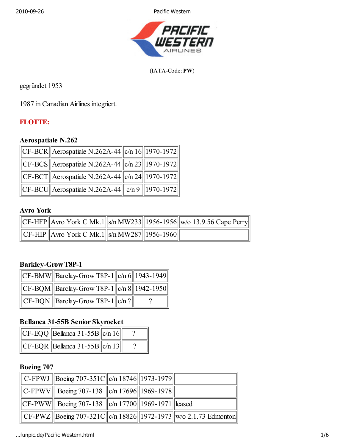2010-09-26 Pacific Western



(IATA-Code: PW)

gegründet 1953

1987 in Canadian Airlines integriert.

### FLOTTE:

#### Aerospatiale N.262

| CF-BCR    Aerospatiale N.262A-44 $  c/n 16  1970-1972  $                  |  |
|---------------------------------------------------------------------------|--|
| $  CF-BCS  $ Aerospatiale N.262A-44 $  c/n \cdot 23  1970-1972  $         |  |
| $\ $ CF-BCT Aerospatiale N.262A-44 $\ $ c/n 24 $\ $ 1970-1972 $\ $        |  |
| $\ CF\text{-}BCU\ $ Aerospatiale N.262A-44 $\ $ c/n 9 $\ $ 1970-1972 $\ $ |  |

#### Avro York

|                                                                      |  | $\ CF\text{-HFP}\ $ Avro York C Mk.1 $\ S/n\text{ MW233}\ $ 1956-1956 $\ w$ /o 13.9.56 Cape Perry |
|----------------------------------------------------------------------|--|---------------------------------------------------------------------------------------------------|
| $\ $ CF-HIP $\ $ Avro York C Mk.1 $\ $ s/n MW287 $\ $ 1956-1960 $\ $ |  |                                                                                                   |

#### Barkley-Grow T8P-1

| $\ $ CF-BMW $\ $ Barclay-Grow T8P-1 $\ $ c/n 6 $\ $ 1943-1949 $\ $ |  |
|--------------------------------------------------------------------|--|
| $\ $ CF-BQM $\ $ Barclay-Grow T8P-1 $\ $ c/n 8 $\ $ 1942-1950 $\ $ |  |
| $\ $ CF-BQN $\ $ Barclay-Grow T8P-1 $\ $ c/n? $\ $                 |  |

#### Bellanca 31-55B Senior Skyrocket

| $ CF-EQQ  $ Bellanca 31-55B $  c/n 16  $ |  |
|------------------------------------------|--|
| $C_F-EQR$   Bellanca 31-55B  c/n 13      |  |

### Boeing 707

| C-FPWJ Boeing 707-351C  c/n 18746  1973-1979                   |  |                                                                          |
|----------------------------------------------------------------|--|--------------------------------------------------------------------------|
| $\ C-FPWV\ $ Boeing 707-138 $\ c/n\ 17696\ 1969-1978\ $        |  |                                                                          |
| $\ CF-PWW\ $ Boeing 707-138 $\ C/n\ 17700\ 1969-1971\ $ leased |  |                                                                          |
|                                                                |  | $\ CF-PWZ\ $ Boeing 707-321C   c/n 18826  1972-1973  w/o 2.1.73 Edmonton |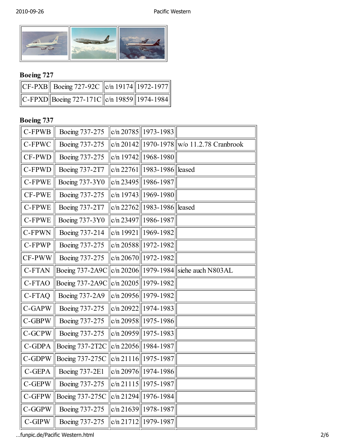

## Boeing 727

| $\ CF-PXB\ $ Boeing 727-92C $\ c/n\ 19174\ 1972-1977\ $          |  |
|------------------------------------------------------------------|--|
| $\ C-FPXD\ $ Boeing 727-171C $\ c/n\ $ 19859 $\ $ 1974-1984 $\ $ |  |

## Boeing 737

| C-FPWB    | Boeing 737-275        |             | c/n 20785 $  1973-1983$        |                                               |
|-----------|-----------------------|-------------|--------------------------------|-----------------------------------------------|
| C-FPWC    | Boeing 737-275        |             |                                | c/n 20142   1970-1978   w/o 11.2.78 Cranbrook |
| CF-PWD    | Boeing 737-275        |             | c/n $19742$   1968-1980        |                                               |
| C-FPWD    | Boeing 737-2T7        | c/n 22761   | 1983-1986  leased              |                                               |
| C-FPWE    | <b>Boeing 737-3Y0</b> | c/n 23495   | 1986-1987                      |                                               |
| CF-PWE    | Boeing 737-275        | c/n $19743$ | 1969-1980                      |                                               |
| C-FPWE    | Boeing 737-2T7        |             | c/n 22762   1983-1986   leased |                                               |
| C-FPWE    | <b>Boeing 737-3Y0</b> |             | c/n 23497 $  1986-1987$        |                                               |
| C-FPWN    | Boeing 737-214        | c/n 19921   | 1969-1982                      |                                               |
| C-FPWP    | Boeing 737-275        |             | $ c/n 20588  1972-1982$        |                                               |
| CF-PWW    | Boeing 737-275        |             | $ c/n 20670  1972-1982 $       |                                               |
| C-FTAN    | Boeing 737-2A9C       |             |                                | c/n 20206 1979-1984 siehe auch N803AL         |
| C-FTAO    | Boeing 737-2A9C       | c/n 20205   | 1979-1982                      |                                               |
| C-FTAQ    | Boeing 737-2A9        |             | c/n 20956 $  1979-1982$        |                                               |
| C-GAPW    | Boeing 737-275        |             | c/n 20922 $  1974-1983$        |                                               |
| C-GBPW    | Boeing 737-275        |             | $c/n 20958    1975 - 1986$     |                                               |
| C-GCPW    | Boeing 737-275        |             | $ c/n 20959  1975-1983 $       |                                               |
| C-GDPA    | Boeing 737-2T2C       |             | $ c/n 22056  1984-1987$        |                                               |
| C-GDPW    | Boeing 737-275C       |             | $ c/n 21116  1975-1987$        |                                               |
| C-GEPA    | <b>Boeing 737-2E1</b> |             | c/n 20976 $  1974-1986  $      |                                               |
| C-GEPW    | Boeing 737-275        | c/n 21115   | 1975-1987                      |                                               |
| C-GFPW    | Boeing 737-275C       |             | $ c/n 21294  1976-1984$        |                                               |
| $C$ -GGPW | Boeing 737-275        | c/n 21639   | 1978-1987                      |                                               |
| $C$ -GIPW | Boeing 737-275        | c/n 21712   | 1979-1987                      |                                               |

…funpic.de/Pacific Western.html 2/6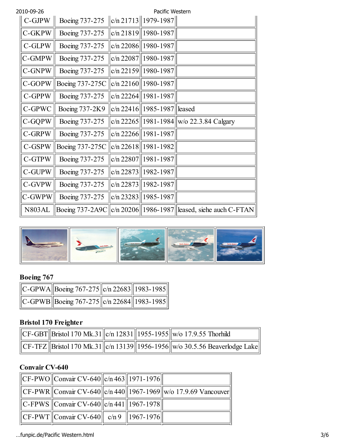| 2010-09-26    |                       | Pacific Western                |                                                   |
|---------------|-----------------------|--------------------------------|---------------------------------------------------|
| C-GJPW        | Boeing 737-275        | $ c/n 21713  1979-1987  $      |                                                   |
| C-GKPW        | Boeing 737-275        | $c/n$ 21819 1980-1987          |                                                   |
| C-GLPW        | Boeing 737-275        | c/n 22086   1980-1987          |                                                   |
| C-GMPW        | Boeing 737-275        | c/n 22087   1980-1987          |                                                   |
| C-GNPW        | Boeing 737-275        | $c/n$ 22159 1980-1987          |                                                   |
| C-GOPW        | Boeing 737-275C       | $c/n$ 22160   1980-1987        |                                                   |
| C-GPPW        | Boeing 737-275        | $c/n$ 22264   1981-1987        |                                                   |
| C-GPWC        | <b>Boeing 737-2K9</b> | c/n 22416   1985-1987   leased |                                                   |
| C-GQPW        | Boeing 737-275        |                                | c/n 22265    1981-1984    w/o 22.3.84 Calgary     |
| C-GRPW        | Boeing 737-275        | $c/n$ 22266   1981-1987        |                                                   |
| C-GSPW        | Boeing 737-275C       | $c/n$ 22618   1981-1982        |                                                   |
| C-GTPW        | Boeing 737-275        | $c/n$ 22807   1981-1987        |                                                   |
| C-GUPW        | Boeing 737-275        | $c/n$ 22873   1982-1987        |                                                   |
| C-GVPW        | Boeing 737-275        | c/n 22873   1982-1987          |                                                   |
| C-GWPW        | Boeing 737-275        | $c/n$ 23283   1985-1987        |                                                   |
| <b>N803AL</b> | Boeing 737-2A9C       |                                | c/n 20206   1986-1987   leased, siehe auch C-FTAN |



## Boeing 767

| $\ C$ -GPWA $\ $ Boeing 767-275 $\ c/n$ 22683 $\ $ 1983-1985 $\ $ |  |
|-------------------------------------------------------------------|--|
| $C-GPWB$ Boeing 767-275 $c/n$ 22684 1983-1985                     |  |

## Bristol 170 Freighter

|  |  | $\ CF-GBT\ $ Bristol 170 Mk.31 $\ c/n\ $ 12831 $\ $ 1955-1955 $\ w/$ o 17.9.55 Thorhild                                |
|--|--|------------------------------------------------------------------------------------------------------------------------|
|  |  | $\ \text{CF-TFZ}\ $ Bristol 170 Mk.31 $\ \text{c/n}$ 13139 $\ $ 1956-1956 $\ \text{w/o}$ 30.5.56 Beaverlodge Lake $\ $ |

### Convair CV-640

| $  CF-PWO  $ Convair CV-640 $  c/n$ 463 $  1971-1976  $         |  |                                                                                |
|-----------------------------------------------------------------|--|--------------------------------------------------------------------------------|
|                                                                 |  | $  CF-PWR  $ Convair CV-640 $  c/n$ 440 $  1967-1969  w$ (o 17.9.69 Vancouver) |
| $\ C$ -FPWS $\ $ Convair CV-640 $\ c/n$ 441 $\ $ 1967-1978 $\ $ |  |                                                                                |
| $  CF-PWT  $ Convair CV-640 $  $ c/n 9 $  1967-1976  $          |  |                                                                                |

…funpic.de/Pacific Western.html 3/6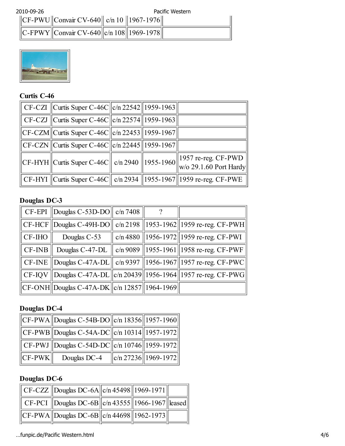| 2010-09-26 |                                                       |  | Pacific Western |
|------------|-------------------------------------------------------|--|-----------------|
|            | $  CF-PWU  $ Convair CV-640 $  c/n 10   1967-1976  $  |  |                 |
|            | $\ C-FPWY\ $ Convair CV-640 $\ c/n\ 108\ 1969-1978\ $ |  |                 |



### Curtis C-46

| $C_F$ -CZI $C$ urtis Super C-46C $  c/n$ 22542 $  1959-1963  $         |  |                                                                                                                                        |
|------------------------------------------------------------------------|--|----------------------------------------------------------------------------------------------------------------------------------------|
| $\ $ CF-CZJ $\ $ Curtis Super C-46C $\ $ c/n 22574 $\ $ 1959-1963 $\ $ |  |                                                                                                                                        |
| $  CF-CZM  $ Curtis Super C-46C $  c/n$ 22453 $  1959-1967  $          |  |                                                                                                                                        |
| $\ CF-CZN\ $ Curtis Super C-46C $\ c/n\,22445\ 1959-1967\ $            |  |                                                                                                                                        |
|                                                                        |  | $\left\ $ CF-HYH $\right\ $ Curtis Super C-46C $\left\ $ c/n 2940 $\right\ $ 1955-1960 $\left\ $ 1957 re-reg. CF-PWD $\left\ $ CVF-PWD |
|                                                                        |  | CF-HYI   Curtis Super C-46C   c/n 2934    1955-1967   1959 re-reg. CF-PWE                                                              |

## Douglas DC-3

|                                | $\parallel$ CF-EPI $\parallel$ Douglas C-53D-DO $\parallel$ c/n 7408 $\parallel$ |  |                                                                             |
|--------------------------------|----------------------------------------------------------------------------------|--|-----------------------------------------------------------------------------|
|                                |                                                                                  |  | CF-HCF   Douglas C-49H-DO    c/n 2198    1953-1962   1959 re-reg. CF-PWH    |
| $\parallel$ CF-IHO $\parallel$ | Douglas C-53                                                                     |  | c/n 4880    1956-1972    1959 re-reg. CF-PWI                                |
| $\parallel$ CF-INB $\parallel$ |                                                                                  |  | Douglas C-47-DL   c/n 9089   1955-1961  1958 re-reg. CF-PWF                 |
|                                |                                                                                  |  | CF-INE    Douglas C-47A-DL    c/n 9397    1956-1967   1957 re-reg. CF-PWC   |
|                                |                                                                                  |  | CF-IQV    Douglas C-47A-DL    c/n 20439    1956-1964    1957 re-reg. CF-PWG |
|                                | $  CF-ONH  $ Douglas C-47A-DK $  c/n $ 12857    1964-1969                        |  |                                                                             |

## Douglas DC-4

|              | $  CF-PWA  $ Douglas C-54B-DO $  c/n $ 18356 $  1957-1960  $  |                                    |
|--------------|---------------------------------------------------------------|------------------------------------|
|              | $\ CF-PWB\ $ Douglas C-54A-DC $\ c/n\ 10314\ 1957$ -1972 $\ $ |                                    |
|              | CF-PWJ   Douglas C-54D-DC   c/n 10746    1959-1972            |                                    |
| $\ CF-PWK\ $ | Douglas DC-4                                                  | $\ $ c/n 27236 $\ $ 1969-1972 $\ $ |

## Douglas DC-6

| CF-CZZ   Douglas DC-6A $  c/n $ 45498    1969-1971        |  |  |
|-----------------------------------------------------------|--|--|
| CF-PCI   Douglas DC-6B   c/n 43555    1966-1967    leased |  |  |
| $  CF-PWA  $ Douglas DC-6B $  c/n$ 44698 $  1962-1973  $  |  |  |

…funpic.de/Pacific Western.html 4/6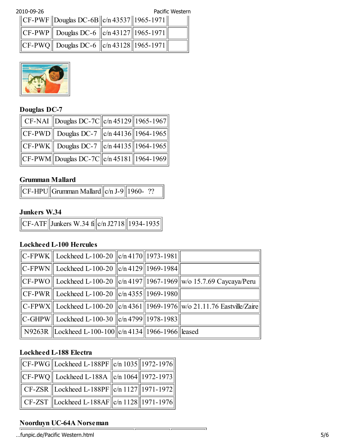2010-09-26 Pacific Western

|  | $\ CF-PWF\ $ Douglas DC-6B $\ c/n\,43537\ 1965-1971\ $ |  |  |
|--|--------------------------------------------------------|--|--|
|  | $\ CF-PWP \ $ Douglas DC-6 $\ c/n\,43127\ 1965-1971\ $ |  |  |
|  | $\ CF-PWQ\ $ Douglas DC-6 $\ c/n\,43128\ 1965-1971\ $  |  |  |



### Douglas DC-7

| CF-NAI   Douglas DC-7C   c/n 45129    1965-1967                   |  |
|-------------------------------------------------------------------|--|
| $\ CF-PWD\ $ Douglas DC-7 $\ c/n\,44136\ 1964-1965\ $             |  |
| $\ $ CF-PWK $\ $ Douglas DC-7 $\ $ c/n 44135 $\ $ 1964-1965 $\ $  |  |
| $  $ CF-PWM $  $ Douglas DC-7C $  $ c/n 45181 $  $ 1964-1969 $  $ |  |

#### Grumman Mallard

|  | $\text{C}F$ -HPU $\text{G}$ rumman Mallard $\text{c/n}$ J-9 $\text{1960}$ - ?? |  |  |  |
|--|--------------------------------------------------------------------------------|--|--|--|
|--|--------------------------------------------------------------------------------|--|--|--|

#### Junkers W.34

| $\ {\rm CF\text{-}ATF}\ {\rm Junkers\ W.34~fil} $ c/n J2718 $\ $ 1934-1935 $\ $ |  |
|---------------------------------------------------------------------------------|--|
|---------------------------------------------------------------------------------|--|

### Lockheed L-100 Hercules

| C-FPWK    Lockheed L-100-20 $\ $ c/n 4170    1973-1981   |  |                                                                                |
|----------------------------------------------------------|--|--------------------------------------------------------------------------------|
| C-FPWN    Lockheed L-100-20 $\ $ c/n 4129  1969-1984     |  |                                                                                |
|                                                          |  | CF-PWO    Lockheed L-100-20   c/n 4197  1967-1969  w/o 15.7.69 Caycaya/Peru    |
| CF-PWR    Lockheed L-100-20 $\ $ c/n 4355   1969-1980    |  |                                                                                |
|                                                          |  | C-FPWX   Lockheed L-100-20   c/n 4361  1969-1976  w/o 21.11.76 Eastville/Zaire |
| C-GHPW   Lockheed L-100-30   c/n 4799  1978-1983         |  |                                                                                |
| N9263R   Lockheed L-100-100  c/n 4134  1966-1966  leased |  |                                                                                |

 $\overline{\phantom{0}}$ 

### Lockheed L-188 Electra

| CF-PWG  Lockheed L-188PF $  c/n 1035  1972-1976  $                          |  |
|-----------------------------------------------------------------------------|--|
| $\ {\rm CF\text{-}PWQ}\ $ Lockheed L-188A $\ $ c/n 1064 $\ $ 1972-1973 $\ $ |  |
| CF-ZSR   Lockheed L-188PF   c/n 1127  1971-1972                             |  |
| CF-ZST   Lockheed L-188AF   c/n 1128    1971-1976                           |  |

# Noorduyn UC-64A Norseman

…funpic.de/Pacific Western.html 5/6